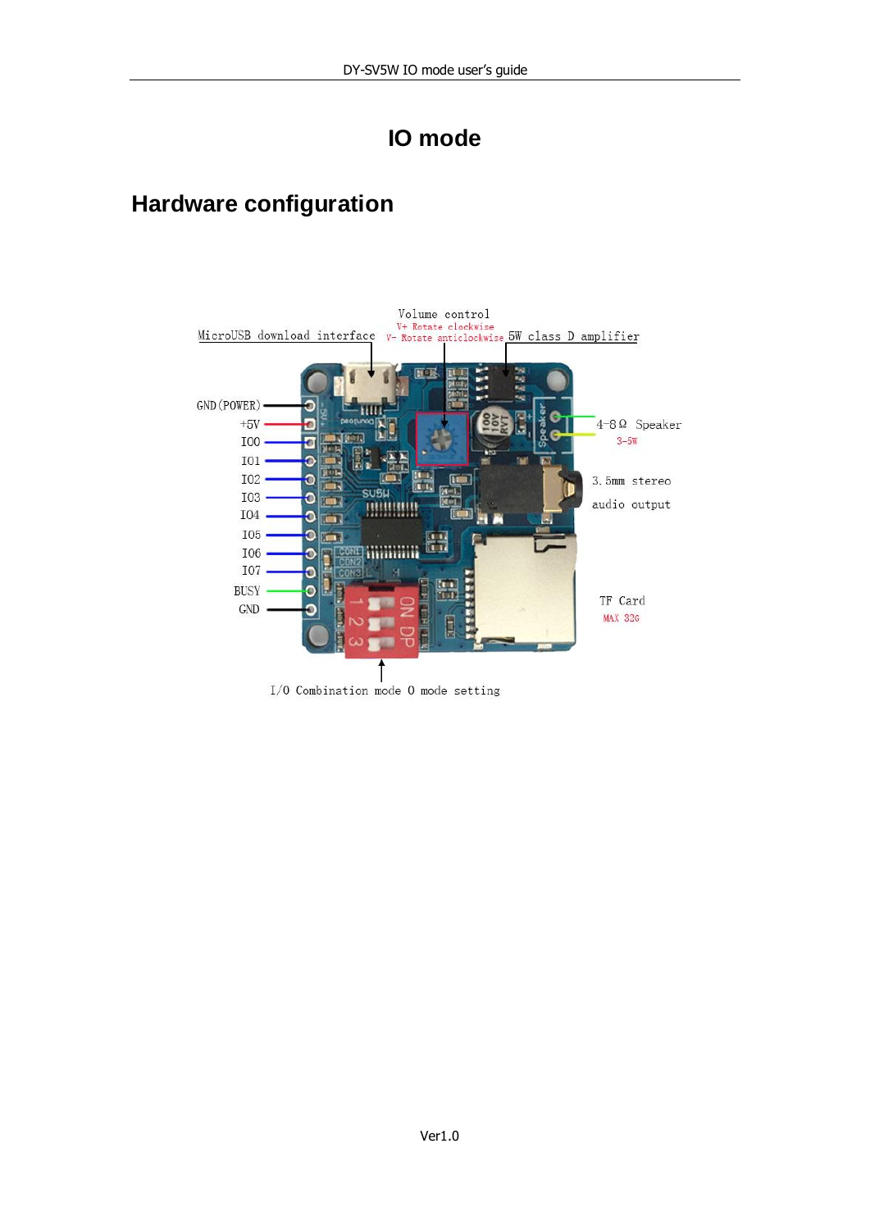# **IO mode**

### **Hardware configuration**

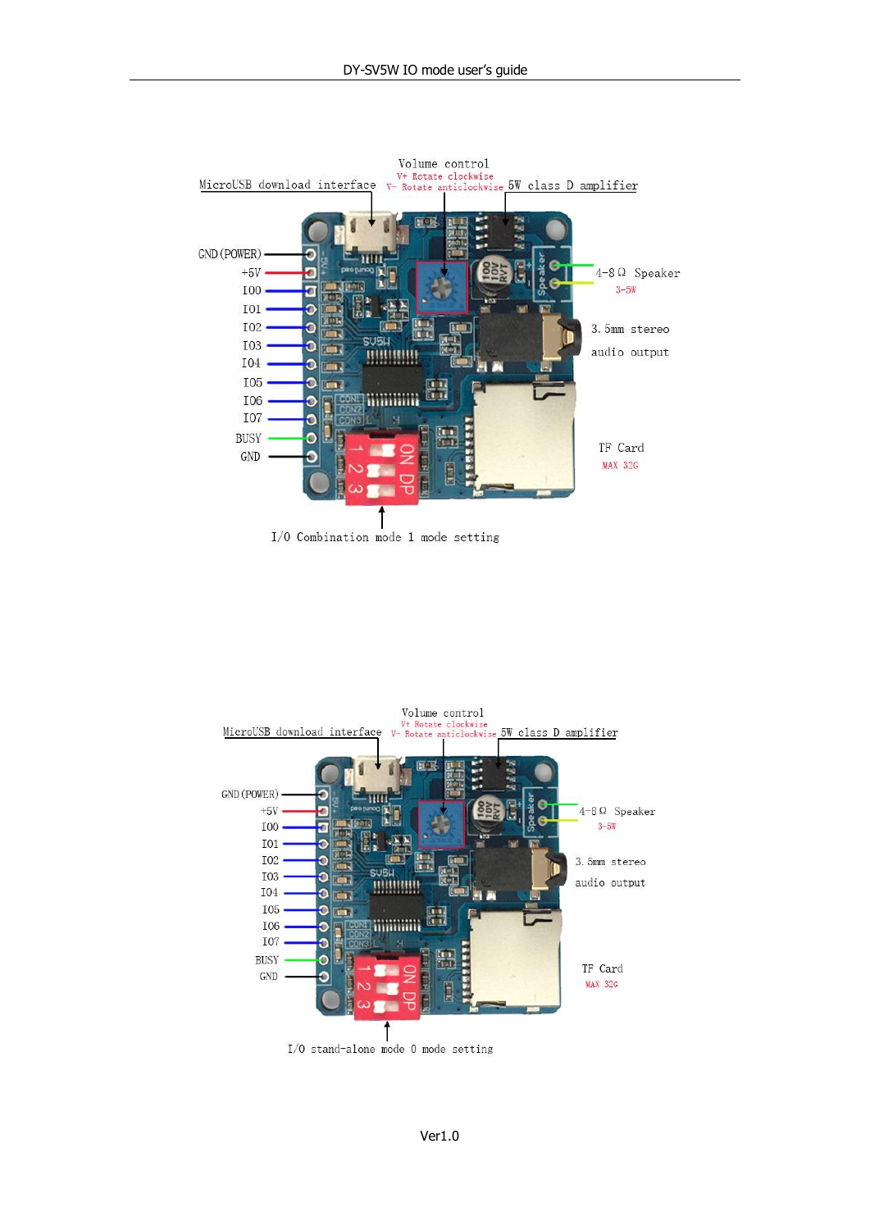



I/O stand-alone mode O mode setting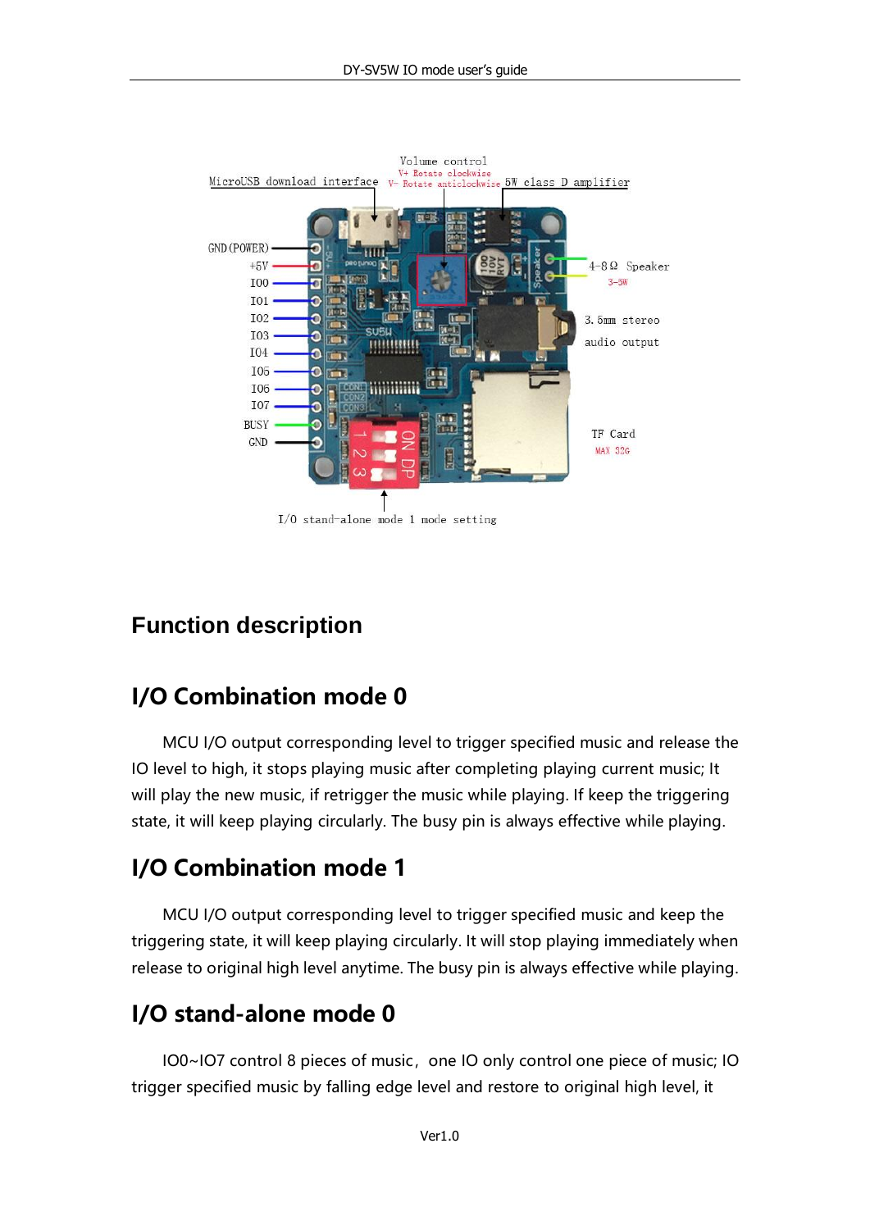

#### **Function description**

#### **I/O Combination mode 0**

MCU I/O output corresponding level to trigger specified music and release the IO level to high, it stops playing music after completing playing current music; It will play the new music, if retrigger the music while playing. If keep the triggering state, it will keep playing circularly. The busy pin is always effective while playing.

## **I/O Combination mode 1**

MCU I/O output corresponding level to trigger specified music and keep the triggering state, it will keep playing circularly. It will stop playing immediately when release to original high level anytime. The busy pin is always effective while playing.

## **I/O stand-alone mode 0**

IO0~IO7 control 8 pieces of music, one IO only control one piece of music; IO trigger specified music by falling edge level and restore to original high level, it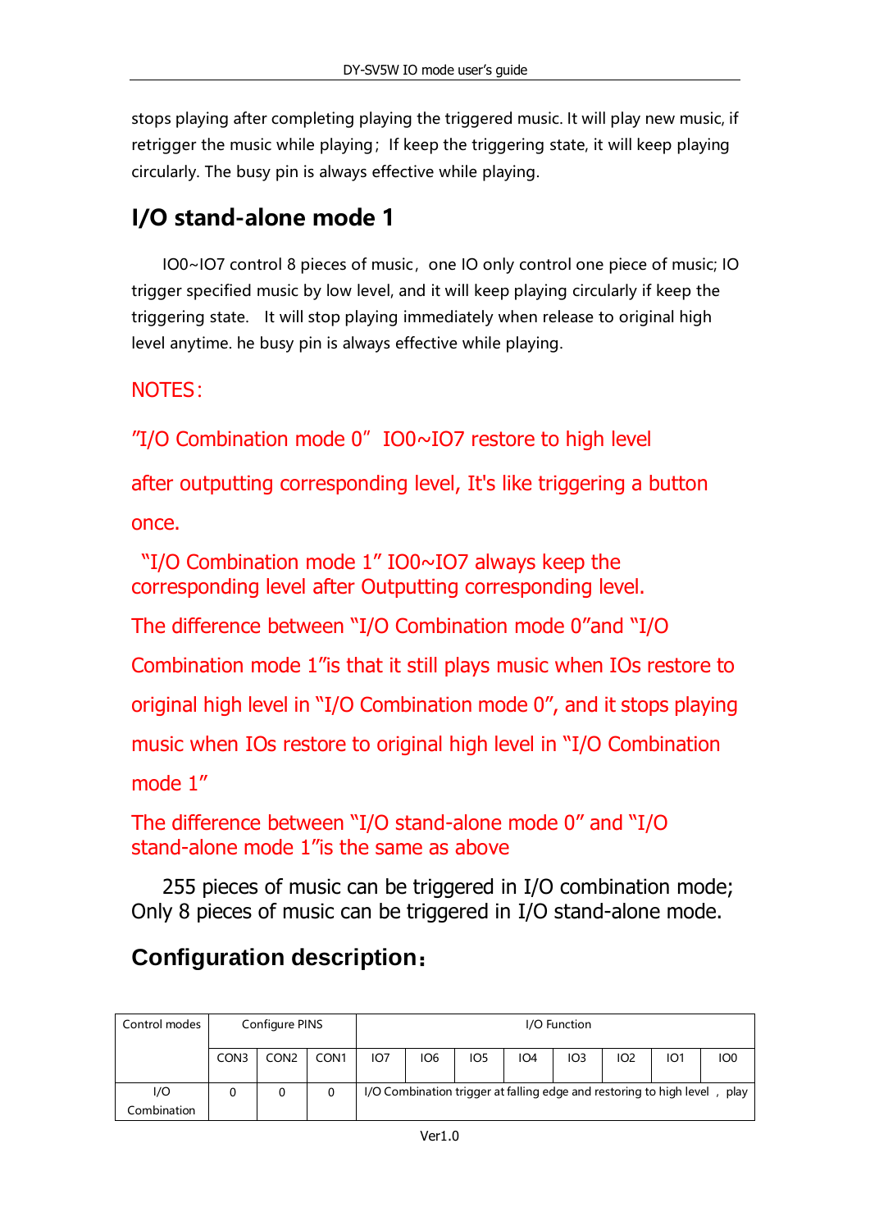stops playing after completing playing the triggered music. It will play new music, if retrigger the music while playing; If keep the triggering state, it will keep playing circularly. The busy pin is always effective while playing.

## **I/O stand-alone mode 1**

IO0~IO7 control 8 pieces of music, one IO only control one piece of music; IO trigger specified music by low level, and it will keep playing circularly if keep the triggering state. It will stop playing immediately when release to original high level anytime. he busy pin is always effective while playing.

#### NOTES:

"I/O Combination mode  $0$ " IO0 $\sim$ IO7 restore to high level

after outputting corresponding level, It's like triggering a button once.

"I/O Combination mode 1" IO0~IO7 always keep the corresponding level after Outputting corresponding level.

The difference between "I/O Combination mode 0"and "I/O

Combination mode 1"is that it still plays music when IOs restore to

original high level in "I/O Combination mode 0", and it stops playing

music when IOs restore to original high level in "I/O Combination

mode 1"

```
The difference between "I/O stand-alone mode 0" and "I/O 
stand-alone mode 1"is the same as above
```
255 pieces of music can be triggered in I/O combination mode; Only 8 pieces of music can be triggered in I/O stand-alone mode.

# **Configuration description**:

| Control modes      | Configure PINS<br>I/O Function |                  |                  |                 |            |                 |     |     |                                                                     |            |                 |
|--------------------|--------------------------------|------------------|------------------|-----------------|------------|-----------------|-----|-----|---------------------------------------------------------------------|------------|-----------------|
|                    | CON3                           | CON <sub>2</sub> | CON <sub>1</sub> | IO <sub>7</sub> | <b>IO6</b> | IO <sub>5</sub> | IO4 | IO3 | 102                                                                 | <b>IO1</b> | IO <sub>0</sub> |
| I/O<br>Combination |                                | 0                | 0                |                 |            |                 |     |     | I/O Combination trigger at falling edge and restoring to high level |            | play            |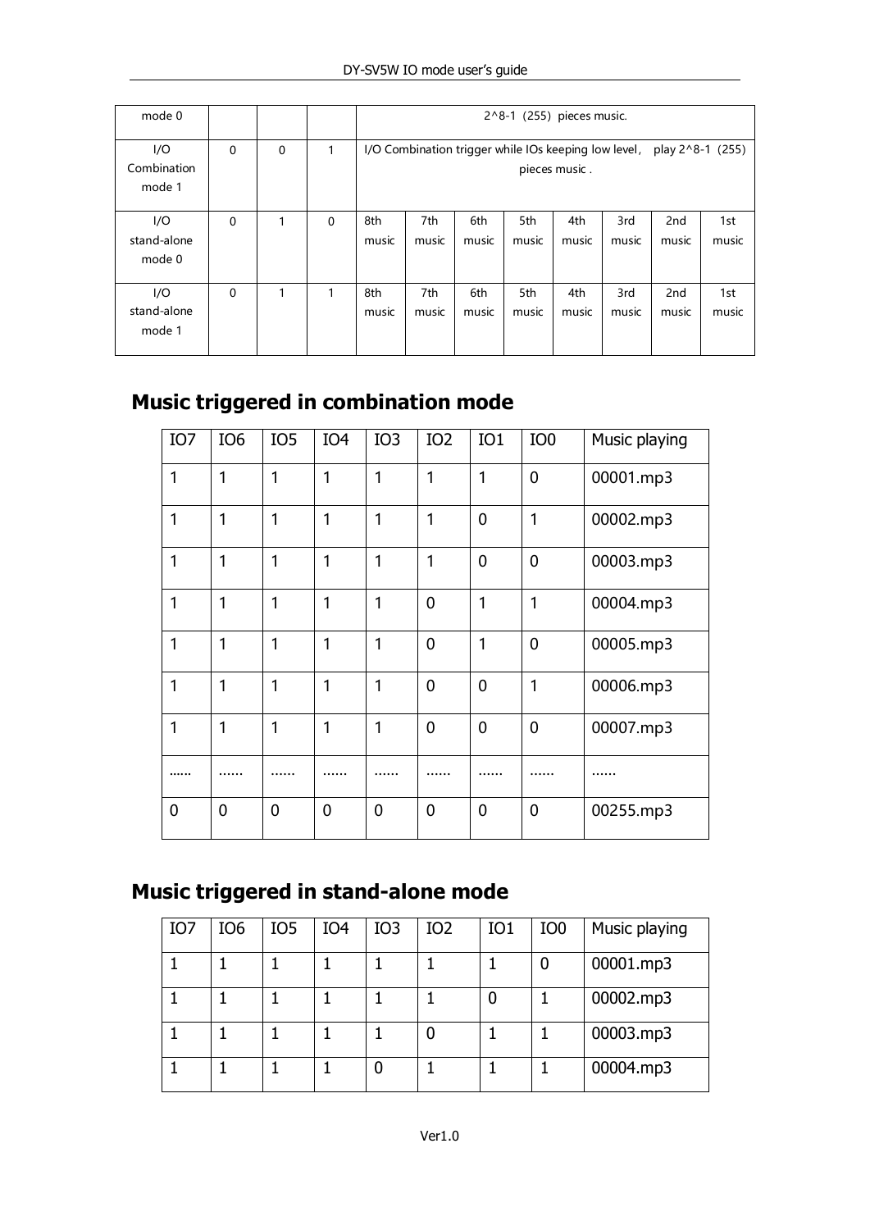| mode 0                       |          |   |          | 2^8-1 (255) pieces music.                                                              |              |              |              |              |              |                          |              |
|------------------------------|----------|---|----------|----------------------------------------------------------------------------------------|--------------|--------------|--------------|--------------|--------------|--------------------------|--------------|
| I/O<br>Combination<br>mode 1 | $\Omega$ | 0 | 1        | I/O Combination trigger while IOs keeping low level, play 2^8-1 (255)<br>pieces music. |              |              |              |              |              |                          |              |
| I/O<br>stand-alone<br>mode 0 | $\Omega$ | 1 | $\Omega$ | 8th<br>music                                                                           | 7th<br>music | 6th<br>music | 5th<br>music | 4th<br>music | 3rd<br>music | 2 <sub>nd</sub><br>music | 1st<br>music |
| I/O<br>stand-alone<br>mode 1 | $\Omega$ | 1 | 1        | 8th<br>music                                                                           | 7th<br>music | 6th<br>music | 5th<br>music | 4th<br>music | 3rd<br>music | 2 <sub>nd</sub><br>music | 1st<br>music |

### **Music triggered in combination mode**

| IO <sub>7</sub> | IO <sub>6</sub> | IO <sub>5</sub> | IO <sub>4</sub> | IO <sub>3</sub> | IO <sub>2</sub> | IO <sub>1</sub> | IO <sub>0</sub> | Music playing |
|-----------------|-----------------|-----------------|-----------------|-----------------|-----------------|-----------------|-----------------|---------------|
| 1               | 1               | 1               | 1               | 1               | 1               | 1               | 0               | 00001.mp3     |
| 1               | 1               | 1               | 1               | 1               | 1               | $\overline{0}$  | 1               | 00002.mp3     |
| 1               | 1               | 1               | 1               | 1               | 1               | $\overline{0}$  | $\mathbf 0$     | 00003.mp3     |
| 1               | 1               | 1               | 1               | 1               | $\overline{0}$  | 1               | 1               | 00004.mp3     |
| 1               | 1               | 1               | 1               | 1               | 0               | 1               | $\mathbf 0$     | 00005.mp3     |
| 1               | 1               | 1               | 1               | 1               | 0               | $\mathbf 0$     | 1               | 00006.mp3     |
| 1               | 1               | 1               | 1               | 1               | $\overline{0}$  | $\mathbf 0$     | 0               | 00007.mp3     |
|                 |                 |                 |                 | .               | .               |                 | .               | .             |
| 0               | $\overline{0}$  | $\mathbf 0$     | 0               | $\mathbf 0$     | 0               | 0               | 0               | 00255.mp3     |

# **Music triggered in stand-alone mode**

| IO7 | IO <sub>6</sub> | IO <sub>5</sub> | IO4 | IO <sub>3</sub> | IO <sub>2</sub> | IO <sub>1</sub> | IO <sub>0</sub> | Music playing |
|-----|-----------------|-----------------|-----|-----------------|-----------------|-----------------|-----------------|---------------|
|     |                 |                 |     |                 |                 |                 | 0               | 00001.mp3     |
|     |                 |                 |     |                 |                 |                 |                 | 00002.mp3     |
|     |                 |                 |     |                 |                 |                 |                 | 00003.mp3     |
|     |                 |                 |     | 0               |                 |                 |                 | 00004.mp3     |